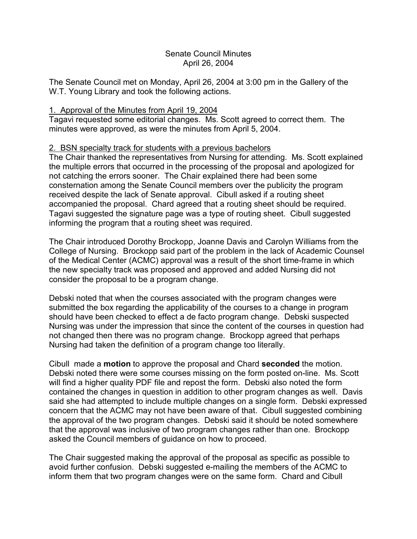## Senate Council Minutes April 26, 2004

The Senate Council met on Monday, April 26, 2004 at 3:00 pm in the Gallery of the W.T. Young Library and took the following actions.

## 1. Approval of the Minutes from April 19, 2004

Tagavi requested some editorial changes. Ms. Scott agreed to correct them. The minutes were approved, as were the minutes from April 5, 2004.

# 2. BSN specialty track for students with a previous bachelors

The Chair thanked the representatives from Nursing for attending. Ms. Scott explained the multiple errors that occurred in the processing of the proposal and apologized for not catching the errors sooner. The Chair explained there had been some consternation among the Senate Council members over the publicity the program received despite the lack of Senate approval. Cibull asked if a routing sheet accompanied the proposal. Chard agreed that a routing sheet should be required. Tagavi suggested the signature page was a type of routing sheet. Cibull suggested informing the program that a routing sheet was required.

The Chair introduced Dorothy Brockopp, Joanne Davis and Carolyn Williams from the College of Nursing. Brockopp said part of the problem in the lack of Academic Counsel of the Medical Center (ACMC) approval was a result of the short time-frame in which the new specialty track was proposed and approved and added Nursing did not consider the proposal to be a program change.

Debski noted that when the courses associated with the program changes were submitted the box regarding the applicability of the courses to a change in program should have been checked to effect a de facto program change. Debski suspected Nursing was under the impression that since the content of the courses in question had not changed then there was no program change. Brockopp agreed that perhaps Nursing had taken the definition of a program change too literally.

Cibull made a **motion** to approve the proposal and Chard **seconded** the motion. Debski noted there were some courses missing on the form posted on-line. Ms. Scott will find a higher quality PDF file and repost the form. Debski also noted the form contained the changes in question in addition to other program changes as well. Davis said she had attempted to include multiple changes on a single form. Debski expressed concern that the ACMC may not have been aware of that. Cibull suggested combining the approval of the two program changes. Debski said it should be noted somewhere that the approval was inclusive of two program changes rather than one. Brockopp asked the Council members of guidance on how to proceed.

The Chair suggested making the approval of the proposal as specific as possible to avoid further confusion. Debski suggested e-mailing the members of the ACMC to inform them that two program changes were on the same form. Chard and Cibull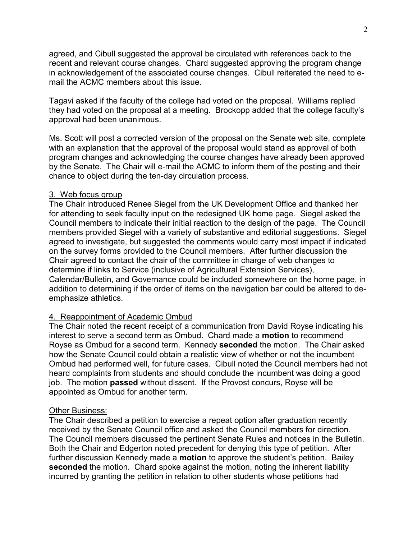agreed, and Cibull suggested the approval be circulated with references back to the recent and relevant course changes. Chard suggested approving the program change in acknowledgement of the associated course changes. Cibull reiterated the need to email the ACMC members about this issue.

Tagavi asked if the faculty of the college had voted on the proposal. Williams replied they had voted on the proposal at a meeting. Brockopp added that the college faculty's approval had been unanimous.

Ms. Scott will post a corrected version of the proposal on the Senate web site, complete with an explanation that the approval of the proposal would stand as approval of both program changes and acknowledging the course changes have already been approved by the Senate. The Chair will e-mail the ACMC to inform them of the posting and their chance to object during the ten-day circulation process.

### 3. Web focus group

The Chair introduced Renee Siegel from the UK Development Office and thanked her for attending to seek faculty input on the redesigned UK home page. Siegel asked the Council members to indicate their initial reaction to the design of the page. The Council members provided Siegel with a variety of substantive and editorial suggestions. Siegel agreed to investigate, but suggested the comments would carry most impact if indicated on the survey forms provided to the Council members. After further discussion the Chair agreed to contact the chair of the committee in charge of web changes to determine if links to Service (inclusive of Agricultural Extension Services), Calendar/Bulletin, and Governance could be included somewhere on the home page, in addition to determining if the order of items on the navigation bar could be altered to deemphasize athletics.

#### 4. Reappointment of Academic Ombud

The Chair noted the recent receipt of a communication from David Royse indicating his interest to serve a second term as Ombud. Chard made a **motion** to recommend Royse as Ombud for a second term. Kennedy **seconded** the motion. The Chair asked how the Senate Council could obtain a realistic view of whether or not the incumbent Ombud had performed well, for future cases. Cibull noted the Council members had not heard complaints from students and should conclude the incumbent was doing a good job. The motion **passed** without dissent. If the Provost concurs, Royse will be appointed as Ombud for another term.

#### Other Business:

The Chair described a petition to exercise a repeat option after graduation recently received by the Senate Council office and asked the Council members for direction. The Council members discussed the pertinent Senate Rules and notices in the Bulletin. Both the Chair and Edgerton noted precedent for denying this type of petition. After further discussion Kennedy made a **motion** to approve the student's petition. Bailey **seconded** the motion. Chard spoke against the motion, noting the inherent liability incurred by granting the petition in relation to other students whose petitions had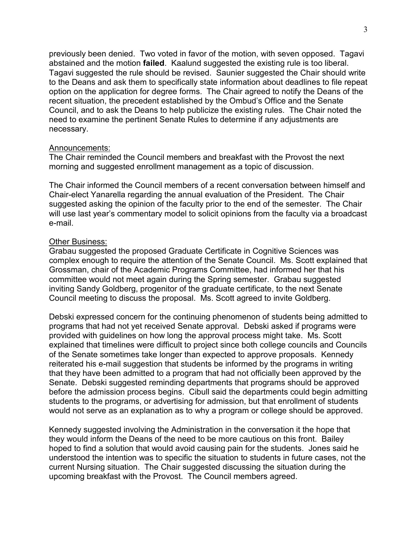previously been denied. Two voted in favor of the motion, with seven opposed. Tagavi abstained and the motion **failed**. Kaalund suggested the existing rule is too liberal. Tagavi suggested the rule should be revised. Saunier suggested the Chair should write to the Deans and ask them to specifically state information about deadlines to file repeat option on the application for degree forms. The Chair agreed to notify the Deans of the recent situation, the precedent established by the Ombud's Office and the Senate Council, and to ask the Deans to help publicize the existing rules. The Chair noted the need to examine the pertinent Senate Rules to determine if any adjustments are necessary.

### Announcements:

The Chair reminded the Council members and breakfast with the Provost the next morning and suggested enrollment management as a topic of discussion.

The Chair informed the Council members of a recent conversation between himself and Chair-elect Yanarella regarding the annual evaluation of the President. The Chair suggested asking the opinion of the faculty prior to the end of the semester. The Chair will use last year's commentary model to solicit opinions from the faculty via a broadcast e-mail.

### Other Business:

Grabau suggested the proposed Graduate Certificate in Cognitive Sciences was complex enough to require the attention of the Senate Council. Ms. Scott explained that Grossman, chair of the Academic Programs Committee, had informed her that his committee would not meet again during the Spring semester. Grabau suggested inviting Sandy Goldberg, progenitor of the graduate certificate, to the next Senate Council meeting to discuss the proposal. Ms. Scott agreed to invite Goldberg.

Debski expressed concern for the continuing phenomenon of students being admitted to programs that had not yet received Senate approval. Debski asked if programs were provided with guidelines on how long the approval process might take. Ms. Scott explained that timelines were difficult to project since both college councils and Councils of the Senate sometimes take longer than expected to approve proposals. Kennedy reiterated his e-mail suggestion that students be informed by the programs in writing that they have been admitted to a program that had not officially been approved by the Senate. Debski suggested reminding departments that programs should be approved before the admission process begins. Cibull said the departments could begin admitting students to the programs, or advertising for admission, but that enrollment of students would not serve as an explanation as to why a program or college should be approved.

Kennedy suggested involving the Administration in the conversation it the hope that they would inform the Deans of the need to be more cautious on this front. Bailey hoped to find a solution that would avoid causing pain for the students. Jones said he understood the intention was to specific the situation to students in future cases, not the current Nursing situation. The Chair suggested discussing the situation during the upcoming breakfast with the Provost. The Council members agreed.